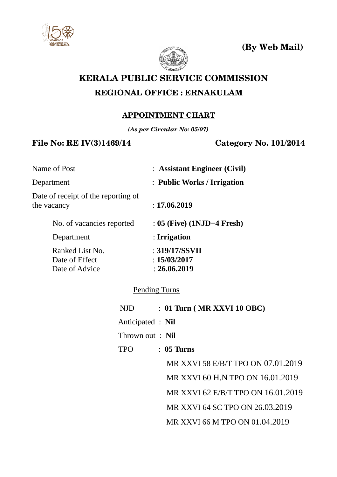

**(By Web Mail)**



# **KERALA PUBLIC SERVICE COMMISSION REGIONAL OFFICE : ERNAKULAM**

## **APPOINTMENT CHART**

*(As per Circular No: 05/07)*

## **File No: RE IV(3)1469/14 Category No. 101/2014**

| Name of Post                                        | : Assistant Engineer (Civil)                   |
|-----------------------------------------------------|------------------------------------------------|
| Department                                          | : Public Works / Irrigation                    |
| Date of receipt of the reporting of<br>the vacancy  | : 17.06.2019                                   |
| No. of vacancies reported                           | : 05 (Five) (1NJD+4 Fresh)                     |
| Department                                          | : Irrigation                                   |
| Ranked List No.<br>Date of Effect<br>Date of Advice | : 319/17/SSVII<br>: 15/03/2017<br>: 26.06.2019 |
|                                                     |                                                |

### Pending Turns

| : 01 Turn ( MR XXVI 10 OBC)        |
|------------------------------------|
| Anticipated : Nil                  |
| Thrown out: Nil                    |
| $\therefore$ 05 Turns              |
| MR XXVI 58 E/B/T TPO ON 07.01.2019 |
| MR XXVI 60 H.N TPO ON 16.01.2019   |
| MR XXVI 62 E/B/T TPO ON 16.01.2019 |
| MR XXVI 64 SC TPO ON 26.03.2019    |
| MR XXVI 66 M TPO ON 01.04.2019     |
|                                    |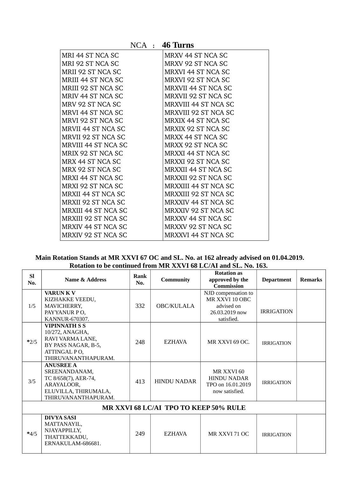|                            | $NCA$ : 46 Turns            |
|----------------------------|-----------------------------|
| MRI 44 ST NCA SC           | MRXV 44 ST NCA SC           |
| MRI 92 ST NCA SC           | MRXV 92 ST NCA SC           |
| MRII 92 ST NCA SC          | <b>MRXVI 44 ST NCA SC</b>   |
| <b>MRIII 44 ST NCA SC</b>  | <b>MRXVI 92 ST NCA SC</b>   |
| <b>MRIII 92 ST NCA SC</b>  | <b>MRXVII 44 ST NCA SC</b>  |
| MRIV 44 ST NCA SC          | <b>MRXVII 92 ST NCA SC</b>  |
| MRV 92 ST NCA SC           | <b>MRXVIII 44 ST NCA SC</b> |
| MRVI 44 ST NCA SC          | <b>MRXVIII 92 ST NCA SC</b> |
| MRVI 92 ST NCA SC          | MRXIX 44 ST NCA SC          |
| MRVII 44 ST NCA SC         | MRXIX 92 ST NCA SC          |
| MRVII 92 ST NCA SC         | <b>MRXX 44 ST NCA SC</b>    |
| <b>MRVIII 44 ST NCA SC</b> | MRXX 92 ST NCA SC           |
| MRIX 92 ST NCA SC          | MRXXI 44 ST NCA SC          |
| MRX 44 ST NCA SC           | MRXXI 92 ST NCA SC          |
| MRX 92 ST NCA SC           | <b>MRXXII 44 ST NCA SC</b>  |
| <b>MRXI 44 ST NCA SC</b>   | MRXXII 92 ST NCA SC         |
| MRXI 92 ST NCA SC          | <b>MRXXIII 44 ST NCA SC</b> |
| <b>MRXII 44 ST NCA SC</b>  | <b>MRXXIII 92 ST NCA SC</b> |
| <b>MRXII 92 ST NCA SC</b>  | MRXXIV 44 ST NCA SC         |
| <b>MRXIII 44 ST NCA SC</b> | <b>MRXXIV 92 ST NCA SC</b>  |
| <b>MRXIII 92 ST NCA SC</b> | <b>MRXXV 44 ST NCA SC</b>   |
| <b>MRXIV 44 ST NCA SC</b>  | MRXXV 92 ST NCA SC          |
| MRXIV 92 ST NCA SC         | <b>MRXXVI 44 ST NCA SC</b>  |

**Main Rotation Stands at MR XXVI 67 OC and SL. No. at 162 already advised on 01.04.2019. Rotation to be continued from MR XXVI 68 LC/AI and SL. No. 163.**

| <b>SI</b><br>No. | Name & Address                                                                                                            | <b>Rank</b><br>No. | <b>Community</b>                      | <b>Rotation as</b><br>approved by the<br><b>Commission</b>                          | <b>Department</b> | <b>Remarks</b> |
|------------------|---------------------------------------------------------------------------------------------------------------------------|--------------------|---------------------------------------|-------------------------------------------------------------------------------------|-------------------|----------------|
| 1/5              | <b>VARUNK V</b><br>KIZHAKKE VEEDU,<br>MAVICHERRY,<br>PAYYANUR PO,<br>KANNUR-670307.                                       | 332                | OBC/KULALA                            | NJD compensation to<br>MR XXVI 10 OBC<br>advised on<br>26.03.2019 now<br>satisfied. | <b>IRRIGATION</b> |                |
| $*2/5$           | <b>VIPINNATH S S</b><br>10/272, ANAGHA,<br>RAVI VARMA LANE,<br>BY PASS NAGAR, B-5,<br>ATTINGAL PO,<br>THIRUVANANTHAPURAM. | 248                | <b>EZHAVA</b>                         | MR XXVI 69 OC.                                                                      | <b>IRRIGATION</b> |                |
| 3/5              | <b>ANUSREE A</b><br>SREENANDANAM,<br>TC 8/658(7), AER-74,<br>ARAYALOOR,<br>ELUVILLA, THIRUMALA,<br>THIRUVANANTHAPURAM.    |                    | <b>HINDU NADAR</b>                    | MR XXVI 60<br><b>HINDU NADAR</b><br>TPO on 16.01.2019<br>now satisfied.             | <b>IRRIGATION</b> |                |
|                  |                                                                                                                           |                    | MR XXVI 68 LC/AI TPO TO KEEP 50% RULE |                                                                                     |                   |                |
| $*4/5$           | <b>DIVYA SASI</b><br>MATTANAYIL,<br>NJAYAPPILLY,<br>THATTEKKADU,<br>ERNAKULAM-686681.                                     | 249                | <b>EZHAVA</b>                         | MR XXVI 71 OC                                                                       | <b>IRRIGATION</b> |                |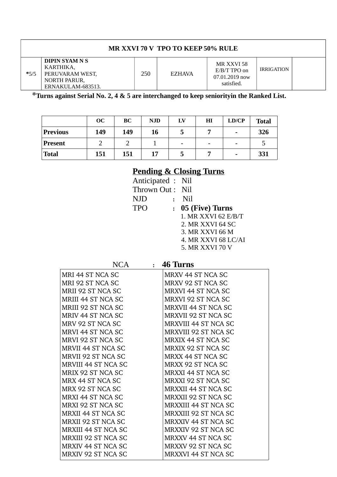| MR XXVI 70 V TPO TO KEEP 50% RULE |                                                                                     |     |               |                                                              |                   |  |  |  |
|-----------------------------------|-------------------------------------------------------------------------------------|-----|---------------|--------------------------------------------------------------|-------------------|--|--|--|
| $*5/5$                            | DIPIN SYAM N S<br>KARTHIKA.<br>PERUVARAM WEST,<br>NORTH PARUR,<br>ERNAKULAM-683513. | 250 | <b>EZHAVA</b> | MR XXVI 58<br>$E/B/T$ TPO on<br>07.01.2019 now<br>satisfied. | <b>IRRIGATION</b> |  |  |  |

**\*Turns against Serial No. 2, 4 & 5 are interchanged to keep seniorityin the Ranked List.**

|                | OC  | BC  | <b>NJD</b> | LV                       | ΗΙ | LD/CP | <b>Total</b> |
|----------------|-----|-----|------------|--------------------------|----|-------|--------------|
| Previous       | 149 | 149 | 16         | כ                        | -  | -     | 326          |
| <b>Present</b> |     |     |            | $\overline{\phantom{a}}$ | -  | -     | כ            |
| <b>Total</b>   | 151 | 151 | 17         | Ć                        |    | -     | 331          |

## **Pending & Closing Turns**

| Anticipated : Nil            |                     |
|------------------------------|---------------------|
| Thrown Out: Nil              |                     |
| <b>NJD</b><br>$\cdot$        | Nil                 |
| <b>TPO</b><br>$\ddot{\cdot}$ | 05 (Five) Turns     |
|                              | 1. MR XXVI 62 E/B/T |
|                              | 2. MR XXVI 64 SC    |
|                              | 3. MR XXVI 66 M     |
|                              | 4. MR XXVI 68 LC/AI |
|                              | 5. MR XXVI 70 V     |

| NCA | <b>46 Turns</b> |
|-----|-----------------|
|     |                 |

|  | <b>46 Turns</b> |
|--|-----------------|
|  |                 |
|  |                 |

| MRI 44 ST NCA SC           | MRXV 44 ST NCA SC           |
|----------------------------|-----------------------------|
| MRI 92 ST NCA SC           | MRXV 92 ST NCA SC           |
| MRII 92 ST NCA SC          | <b>MRXVI 44 ST NCA SC</b>   |
| MRIII 44 ST NCA SC         | <b>MRXVI 92 ST NCA SC</b>   |
| MRIII 92 ST NCA SC         | <b>MRXVII 44 ST NCA SC</b>  |
| MRIV 44 ST NCA SC          | <b>MRXVII 92 ST NCA SC</b>  |
| MRV 92 ST NCA SC           | <b>MRXVIII 44 ST NCA SC</b> |
| MRVI 44 ST NCA SC          | <b>MRXVIII 92 ST NCA SC</b> |
| MRVI 92 ST NCA SC          | <b>MRXIX 44 ST NCA SC</b>   |
| <b>MRVII 44 ST NCA SC</b>  | MRXIX 92 ST NCA SC          |
| MRVII 92 ST NCA SC         | MRXX 44 ST NCA SC           |
| MRVIII 44 ST NCA SC        | MRXX 92 ST NCA SC           |
| MRIX 92 ST NCA SC          | <b>MRXXI 44 ST NCA SC</b>   |
| MRX 44 ST NCA SC           | MRXXI 92 ST NCA SC          |
| MRX 92 ST NCA SC           | MRXXII 44 ST NCA SC         |
| MRXI 44 ST NCA SC          | MRXXII 92 ST NCA SC         |
| MRXI 92 ST NCA SC          | <b>MRXXIII 44 ST NCA SC</b> |
| MRXII 44 ST NCA SC         | <b>MRXXIII 92 ST NCA SC</b> |
| MRXII 92 ST NCA SC         | <b>MRXXIV 44 ST NCA SC</b>  |
| <b>MRXIII 44 ST NCA SC</b> | <b>MRXXIV 92 ST NCA SC</b>  |
| <b>MRXIII 92 ST NCA SC</b> | <b>MRXXV 44 ST NCA SC</b>   |
| <b>MRXIV 44 ST NCA SC</b>  | MRXXV 92 ST NCA SC          |
| MRXIV 92 ST NCA SC         | <b>MRXXVI 44 ST NCA SC</b>  |